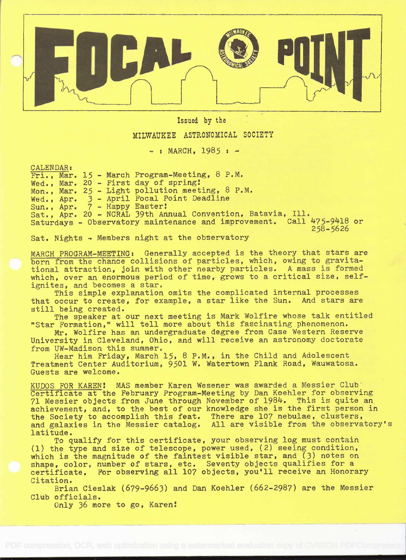

Issued by the

## MILWAUKEE ASTRONOMICAL SOCIETY

 $-$  : MARCH, 1985 :  $-$ 

CALENDAR:

Fri., Mar. 15 - March Program-Meeting, 8 P.M. Wed., Mar. 20 - First day of spring! Mon., Mar. 25 - Light pollution meeting, 8 P.M. Wed. , Apr. 3 - April Focal Point Deadline Sun., Apr. 7 - Happy Easter: Sat., Apr. 20 - NCRAL 39th Annual Convention, Batavia, Ill. Saturdays - Observatory maintenance and improvement. Call 475-9418 or 258-5626

Sat. Nights - Members night at the observatory

MARCH PROGRAM-MEETING: Generally accepted is the theory that stars are born from the chance collisions of particles, which, owing to gravitational attraction, join with other nearby particles. A mass is formed which, over an enormous period of time, grows to a critical size, selfignites, and becomes a star.

This simple explanation omits the complicated internal processes that occur to create, for example, a star like the Sun. And stars are still being created.

The speaker at our next meeting is Mark Wolfire whose talk entitled "Star Formation," will tell more about this fascinating phenomenon.

Mr. Wolfire has an undergraduate degree from Case Western Reserve University in Cleveland, Ohio, and will receive an astronomy doctorate from UW-Madison this summer.

Hear him Friday, March 15, 8 P.M., in the Child and Adolescent Treatment Center Auditorium, 9501 W. Watertown Plank Road, Wauwatosa. Guests are welcome.

KUDOS FOR KAREN: MAS member Karen Wesener was awarded a Messier Club' Certificate at the February Program-Meeting by Dan Koehier for observing 71 Messier objects from June through November of 1984. This is quite an achievement, and, to the best of our knowledge she is the first person in the Society to accomplish this feat. There are 107 nebulae, clusters, and galaxies in the Messier catalog. All are visible from the observatory's latitude.

To qualify for this certificate, your observing log must contain (1) the type and size of telescope, power used, (2) seeing condition, which is the magnitude of the faintest visible star, and (3) notes on shape, color, number of stars, etc. Seventy objects qualifies for a certificate. For observing all 107 objects, you'll receive an Honorary Citation.

Brian Cieslak (679-9663) and Dan Koehler (662-2987) are the Messier Club officials.

Only 36 more to go, Karen!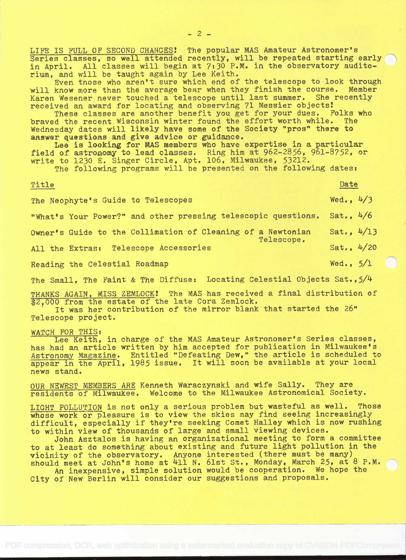LIFE IS FULL OF SECOND CHANCES! The popular MAS Amateur Astronomer's Series classes, so well attended recently, will be repeated starting early in April. All classes will begin at 7:30 P.M. in the observatory auditorium, and will be taught again by Lee Keith.

Even tnose who aren't sure which end of the telescope to look through will know more than the average bear when they finish the course. Member Karen Wesener never touched a telescope until last summer. She recently received an award for locating and observing 71 Messier objects

These classes are another benefit you get for your dues. Folks who braved the recent Wisconsin winter found the effort worth while. The Wednesday dates will likely have some of the Society "pros" there to answer questions and give advice or guidance.

Lee is looking for MAS members who have expertise in a particular field of astronomy to lead classes. Ring him at 962-2856, 961-8752, or write to 1230 E. Singer Circle, Apt. 106, Milwaukee, 53212.

The following programs will be presented on the following dates:

## Title

Date

Wed.,  $4/3$ 

Wed.,  $5/1$ 

The Neophyte's Guide to Telescopes

"What's Your Power?" and other pressing telescopic questions. Sat., 4/6

Owner's Guide to the Collimation of Cleaning of a Newtonian Sat., 4/13 Telescope.

All the Extras: Telescope Accessories  $Sat., 4/20$ 

Reading the Celestial Roadmap

The Small, The Faint & The Diffuse: Locating Celestial Objects Sat., 5/4

THANKS AGAIN, MISS ZEMLOCK! The MAS has received a final distribution of \$2,000 from the estate of the late Cora Zemlock.

It was her contribution of the mirror blank that started the 26" Telescope project.

WATCH FOR THIS:<br>Lee Keith, in charge of the MAS Amateur Astronomer's Series classes, has had an article written by him accepted for publication in Milwaukee's Astronomy Magazine. Entitled "Defeating Dew," the article is scheduled to appear in the April, 1985 issue. It will soon be available at your local news stand.

OUR NEWEST MEMBERS ARE Kenneth Waraczynski and wife Sally. They are residents oÍ' Milwaukee. Welcome to the Milwaukee Astronomical Society.

LIGHT POLLUTION is not only a serious problem but wasteful as well. Those whose work or pleasure is to view the skies may find seeing increasingly difficult, especially if they're seeking Comet Halley which is now rushing to within view of thousands of large and small viewing devices.

John Asztalos is having an organizational meeting to form a committee to at least do something about existing and future light pollution in the vicinity of the observatory. Anyone interested (there must be many) should meet at John's home at 411 N. 61st St., Monday, March 25, at 8 P.M.

An inexpensive, simple solution would be cooperation. We hope the City of New Berlin will consider our suggestions and proposals.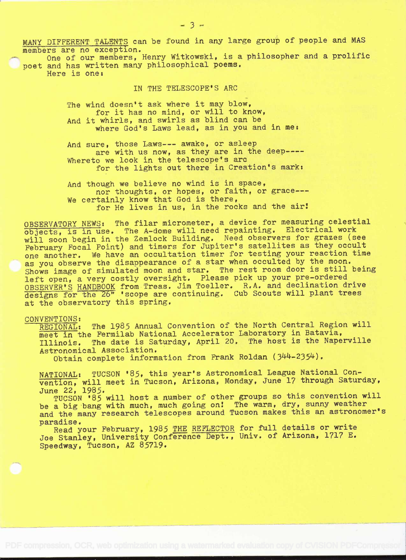MANY DIFFERENT TALENTS can be found in any large group of people and MAS members are no exception.

One of our members, Henry Witkowski, is a philosopher and a prolific poet and has written many philosophical poems. Here is one:

IN THE TELESCOPE'S ARC

The wind doesn't ask where it may blow, for it has no mind, or will to know, And it whirls, and swirls as blind can be where God's Laws lead, as in you and in me:

And sure, those Laws--- awake, or asleep are with us now, as they are in the deep----Whereto we look in the telescope's arc for the lights out there in Creation's mark:

And though we believe no wind is in space, nor thoughts, or hopes, or faith, or grace--- We certainly know that God is there, for He lives in us, in the rocks and the air!

OBSERVATORY NEWS: The filar micrometer, a device for measuring celestial objects, is in use. The A-dome will need repainting. Electrical work will soon begin in the Zemlock Building. Need observers for grazes (see February Focal Point) and timers for Jupiter's satellites as they occult one another, We have an occultation timer for testing your reaction time as you observe the disappearance of a star when occulted by the moon. Shows image of simulated moon and star. The rest room door is still being left open, a very costly oversight. Please pick up your pre-ordered OBSERVER'S HANDBOOK from Treas. Jim Toeller. R.A. and declination drive designs for the 26" 'scope are continuing. Cub Scouts will plant trees at the observatory this spring.

## CONVENTIONS:<br>REGIONAL:

The 1985 Annual Convention of the North Central Region will meet in the Fermilab National Accelerator Laboratory in Batavia,<br>Illinois. The date is Saturday, April 20. The host is the Nape The date is Saturday, April 20. The host is the Naperville Astronomical Association.

Obtain complete information from Frank Roldan (344-2354).

NATIONAL: TUCSON '85, this year's Astronomical League National Convention, will meet in Tucson, Arizona, Monday, June 17 through Saturday, June 22, 1985.

TUCSON '85 will host a number of other groups so this convention will be a big bang with much, much going on! The warm, dry, sunny weather and the many research telescopes around Tucson makes this an astronomer's

paradise.<br>Read your February, 1985 <u>THE REFLECTOR</u> for full details or write Joe Stanley, University Conference Dept., Univ. of Arizona, 1717 E. Speedway, Tucson, AZ 85719.